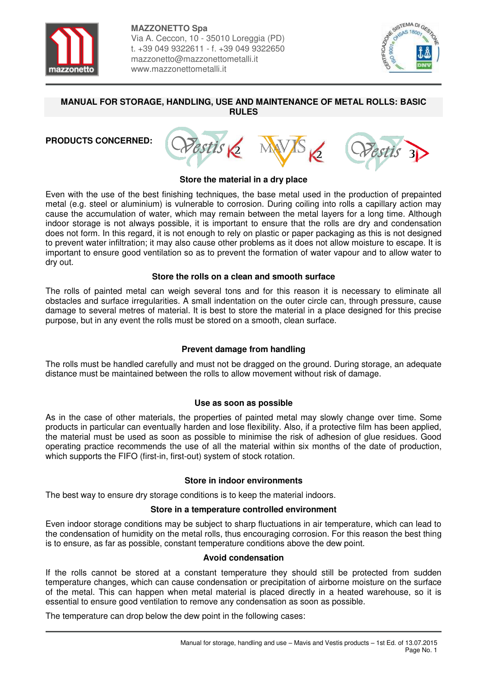



#### **MANUAL FOR STORAGE, HANDLING, USE AND MAINTENANCE OF METAL ROLLS: BASIC RULES**

## **PRODUCTS CONCERNED:**



#### **Store the material in a dry place**

Even with the use of the best finishing techniques, the base metal used in the production of prepainted metal (e.g. steel or aluminium) is vulnerable to corrosion. During coiling into rolls a capillary action may cause the accumulation of water, which may remain between the metal layers for a long time. Although indoor storage is not always possible, it is important to ensure that the rolls are dry and condensation does not form. In this regard, it is not enough to rely on plastic or paper packaging as this is not designed to prevent water infiltration; it may also cause other problems as it does not allow moisture to escape. It is important to ensure good ventilation so as to prevent the formation of water vapour and to allow water to dry out.

### **Store the rolls on a clean and smooth surface**

The rolls of painted metal can weigh several tons and for this reason it is necessary to eliminate all obstacles and surface irregularities. A small indentation on the outer circle can, through pressure, cause damage to several metres of material. It is best to store the material in a place designed for this precise purpose, but in any event the rolls must be stored on a smooth, clean surface.

### **Prevent damage from handling**

The rolls must be handled carefully and must not be dragged on the ground. During storage, an adequate distance must be maintained between the rolls to allow movement without risk of damage.

### **Use as soon as possible**

As in the case of other materials, the properties of painted metal may slowly change over time. Some products in particular can eventually harden and lose flexibility. Also, if a protective film has been applied, the material must be used as soon as possible to minimise the risk of adhesion of glue residues. Good operating practice recommends the use of all the material within six months of the date of production, which supports the FIFO (first-in, first-out) system of stock rotation.

### **Store in indoor environments**

The best way to ensure dry storage conditions is to keep the material indoors.

### **Store in a temperature controlled environment**

Even indoor storage conditions may be subject to sharp fluctuations in air temperature, which can lead to the condensation of humidity on the metal rolls, thus encouraging corrosion. For this reason the best thing is to ensure, as far as possible, constant temperature conditions above the dew point.

### **Avoid condensation**

If the rolls cannot be stored at a constant temperature they should still be protected from sudden temperature changes, which can cause condensation or precipitation of airborne moisture on the surface of the metal. This can happen when metal material is placed directly in a heated warehouse, so it is essential to ensure good ventilation to remove any condensation as soon as possible.

The temperature can drop below the dew point in the following cases: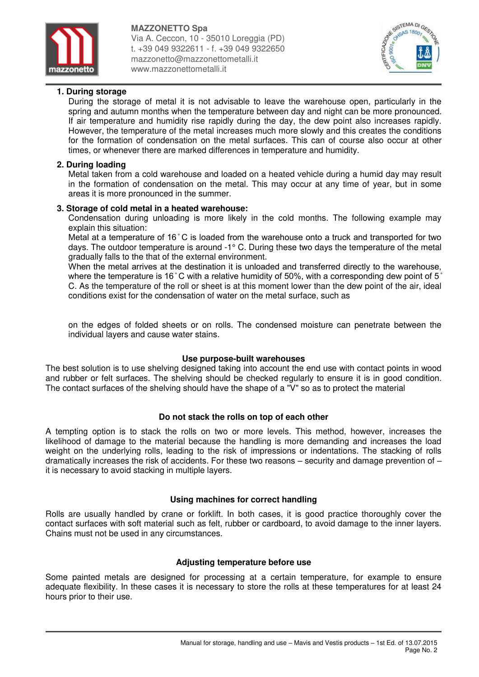



## **1. During storage**

During the storage of metal it is not advisable to leave the warehouse open, particularly in the spring and autumn months when the temperature between day and night can be more pronounced. If air temperature and humidity rise rapidly during the day, the dew point also increases rapidly. However, the temperature of the metal increases much more slowly and this creates the conditions for the formation of condensation on the metal surfaces. This can of course also occur at other times, or whenever there are marked differences in temperature and humidity.

## **2. During loading**

Metal taken from a cold warehouse and loaded on a heated vehicle during a humid day may result in the formation of condensation on the metal. This may occur at any time of year, but in some areas it is more pronounced in the summer.

### **3. Storage of cold metal in a heated warehouse:**

Condensation during unloading is more likely in the cold months. The following example may explain this situation:

Metal at a temperature of 16°C is loaded from the warehouse onto a truck and transported for two days. The outdoor temperature is around -1° C. During these two days the temperature of the metal gradually falls to the that of the external environment.

When the metal arrives at the destination it is unloaded and transferred directly to the warehouse, where the temperature is 16°C with a relative humidity of 50%, with a corresponding dew point of 5° C. As the temperature of the roll or sheet is at this moment lower than the dew point of the air, ideal conditions exist for the condensation of water on the metal surface, such as

on the edges of folded sheets or on rolls. The condensed moisture can penetrate between the individual layers and cause water stains.

## **Use purpose-built warehouses**

The best solution is to use shelving designed taking into account the end use with contact points in wood and rubber or felt surfaces. The shelving should be checked regularly to ensure it is in good condition. The contact surfaces of the shelving should have the shape of a "V" so as to protect the material

### **Do not stack the rolls on top of each other**

A tempting option is to stack the rolls on two or more levels. This method, however, increases the likelihood of damage to the material because the handling is more demanding and increases the load weight on the underlying rolls, leading to the risk of impressions or indentations. The stacking of rolls dramatically increases the risk of accidents. For these two reasons – security and damage prevention of – it is necessary to avoid stacking in multiple layers.

### **Using machines for correct handling**

Rolls are usually handled by crane or forklift. In both cases, it is good practice thoroughly cover the contact surfaces with soft material such as felt, rubber or cardboard, to avoid damage to the inner layers. Chains must not be used in any circumstances.

## **Adjusting temperature before use**

Some painted metals are designed for processing at a certain temperature, for example to ensure adequate flexibility. In these cases it is necessary to store the rolls at these temperatures for at least 24 hours prior to their use.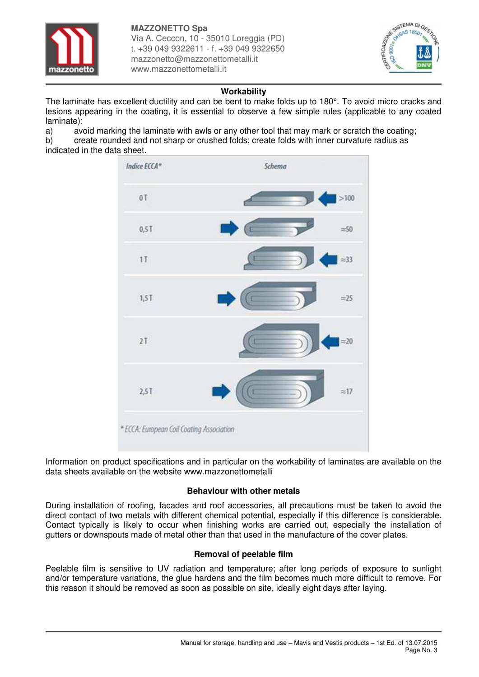



## **Workability**

The laminate has excellent ductility and can be bent to make folds up to 180°. To avoid micro cracks and lesions appearing in the coating, it is essential to observe a few simple rules (applicable to any coated laminate):

a) avoid marking the laminate with awls or any other tool that may mark or scratch the coating; b) create rounded and not sharp or crushed folds; create folds with inner curvature radius as indicated in the data sheet.



Information on product specifications and in particular on the workability of laminates are available on the data sheets available on the website www.mazzonettometalli

# **Behaviour with other metals**

During installation of roofing, facades and roof accessories, all precautions must be taken to avoid the direct contact of two metals with different chemical potential, especially if this difference is considerable. Contact typically is likely to occur when finishing works are carried out, especially the installation of gutters or downspouts made of metal other than that used in the manufacture of the cover plates.

## **Removal of peelable film**

Peelable film is sensitive to UV radiation and temperature; after long periods of exposure to sunlight and/or temperature variations, the glue hardens and the film becomes much more difficult to remove. For this reason it should be removed as soon as possible on site, ideally eight days after laying.